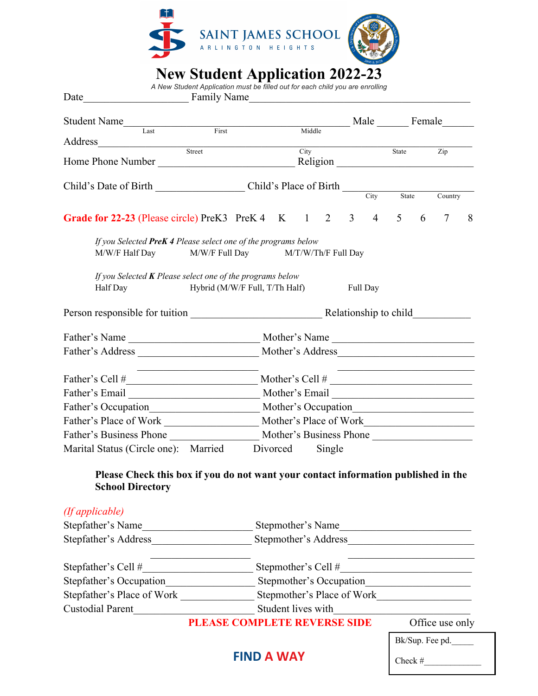

## **New Student Application 2022-23**

|                                                                                                                     | A New Student Application must be filled out for each child you are enrolling |                                                              |                    |        |        |                 |                 |                                                   |   |         |   |
|---------------------------------------------------------------------------------------------------------------------|-------------------------------------------------------------------------------|--------------------------------------------------------------|--------------------|--------|--------|-----------------|-----------------|---------------------------------------------------|---|---------|---|
| Student Name                                                                                                        |                                                                               |                                                              |                    |        |        |                 | Male Female     |                                                   |   |         |   |
|                                                                                                                     |                                                                               |                                                              |                    | Middle |        |                 |                 |                                                   |   |         |   |
| Home Phone Number                                                                                                   | Street                                                                        |                                                              |                    | City   |        |                 |                 | State                                             |   | Zip     |   |
|                                                                                                                     |                                                                               |                                                              |                    |        |        |                 |                 |                                                   |   |         |   |
| Child's Date of Birth Child's Place of Birth City                                                                   |                                                                               |                                                              |                    |        |        |                 |                 | $\overline{\smash{\big)}\xspace$ State            |   | Country |   |
| Grade for 22-23 (Please circle) PreK3 PreK4 K 1 2 3 4 5                                                             |                                                                               |                                                              |                    |        |        |                 |                 |                                                   | 6 | $\tau$  | 8 |
| If you Selected PreK 4 Please select one of the programs below<br>M/W/F Half Day M/W/F Full Day M/T/W/Th/F Full Day |                                                                               |                                                              |                    |        |        |                 |                 |                                                   |   |         |   |
| If you Selected $K$ Please select one of the programs below<br>Half Day<br>Hybrid (M/W/F Full, T/Th Half)           |                                                                               |                                                              |                    |        |        |                 | Full Day        |                                                   |   |         |   |
|                                                                                                                     |                                                                               |                                                              |                    |        |        |                 |                 |                                                   |   |         |   |
|                                                                                                                     |                                                                               |                                                              |                    |        |        |                 |                 |                                                   |   |         |   |
|                                                                                                                     |                                                                               |                                                              |                    |        |        |                 |                 |                                                   |   |         |   |
| Father's Cell $\#$ Mother's Cell $\#$                                                                               | the control of the control of the control of the                              |                                                              |                    |        |        |                 |                 | <u> 1990 - Johann Barbara, martxa alemaniar a</u> |   |         |   |
|                                                                                                                     |                                                                               |                                                              |                    |        |        |                 |                 |                                                   |   |         |   |
|                                                                                                                     |                                                                               |                                                              |                    |        |        |                 |                 |                                                   |   |         |   |
|                                                                                                                     |                                                                               |                                                              |                    |        |        |                 |                 |                                                   |   |         |   |
| Father's Business Phone Mother's Business Phone                                                                     |                                                                               |                                                              |                    |        |        |                 |                 |                                                   |   |         |   |
| Marital Status (Circle one): Married                                                                                |                                                                               |                                                              | Divorced           |        | Single |                 |                 |                                                   |   |         |   |
| Please Check this box if you do not want your contact information published in the<br><b>School Directory</b>       |                                                                               |                                                              |                    |        |        |                 |                 |                                                   |   |         |   |
| (If applicable)                                                                                                     |                                                                               |                                                              |                    |        |        |                 |                 |                                                   |   |         |   |
| Stepfather's Name                                                                                                   |                                                                               | Stepmother's Name<br><u> 1989 - Johann Barbara, martxa a</u> |                    |        |        |                 |                 |                                                   |   |         |   |
| Stepfather's Address                                                                                                |                                                                               | Stepmother's Address                                         |                    |        |        |                 |                 |                                                   |   |         |   |
| Stepfather's Cell #                                                                                                 |                                                                               |                                                              |                    |        |        |                 |                 |                                                   |   |         |   |
|                                                                                                                     |                                                                               | Stepmother's Occupation                                      |                    |        |        |                 |                 |                                                   |   |         |   |
| Stepfather's Place of Work                                                                                          |                                                                               |                                                              |                    |        |        |                 |                 | Stepmother's Place of Work                        |   |         |   |
| <b>Custodial Parent</b>                                                                                             |                                                                               |                                                              | Student lives with |        |        |                 |                 |                                                   |   |         |   |
| PLEASE COMPLETE REVERSE SIDE                                                                                        |                                                                               |                                                              |                    |        |        |                 | Office use only |                                                   |   |         |   |
|                                                                                                                     |                                                                               |                                                              |                    |        |        | Bk/Sup. Fee pd. |                 |                                                   |   |         |   |
| <b>FIND A WAY</b>                                                                                                   |                                                                               |                                                              |                    |        |        | Check #         |                 |                                                   |   |         |   |